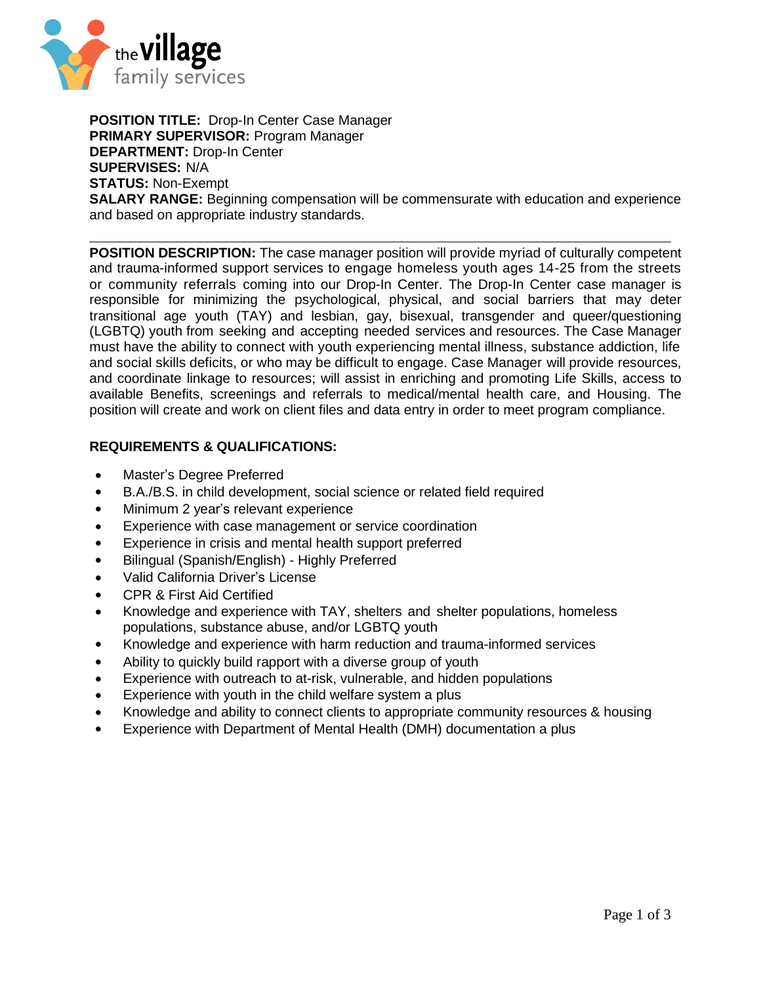

**POSITION TITLE:** Drop-In Center Case Manager **PRIMARY SUPERVISOR:** Program Manager **DEPARTMENT:** Drop-In Center **SUPERVISES:** N/A **STATUS:** Non-Exempt **SALARY RANGE:** Beginning compensation will be commensurate with education and experience and based on appropriate industry standards.

**POSITION DESCRIPTION:** The case manager position will provide myriad of culturally competent and trauma-informed support services to engage homeless youth ages 14-25 from the streets or community referrals coming into our Drop-In Center. The Drop-In Center case manager is responsible for minimizing the psychological, physical, and social barriers that may deter transitional age youth (TAY) and lesbian, gay, bisexual, transgender and queer/questioning (LGBTQ) youth from seeking and accepting needed services and resources. The Case Manager must have the ability to connect with youth experiencing mental illness, substance addiction, life and social skills deficits, or who may be difficult to engage. Case Manager will provide resources, and coordinate linkage to resources; will assist in enriching and promoting Life Skills, access to available Benefits, screenings and referrals to medical/mental health care, and Housing. The position will create and work on client files and data entry in order to meet program compliance.

## **REQUIREMENTS & QUALIFICATIONS:**

- Master's Degree Preferred
- B.A./B.S. in child development, social science or related field required
- Minimum 2 year's relevant experience
- Experience with case management or service coordination
- Experience in crisis and mental health support preferred
- Bilingual (Spanish/English) Highly Preferred
- Valid California Driver's License
- CPR & First Aid Certified
- Knowledge and experience with TAY, shelters and shelter populations, homeless populations, substance abuse, and/or LGBTQ youth
- Knowledge and experience with harm reduction and trauma-informed services
- Ability to quickly build rapport with a diverse group of youth
- Experience with outreach to at-risk, vulnerable, and hidden populations
- Experience with youth in the child welfare system a plus
- Knowledge and ability to connect clients to appropriate community resources & housing
- Experience with Department of Mental Health (DMH) documentation a plus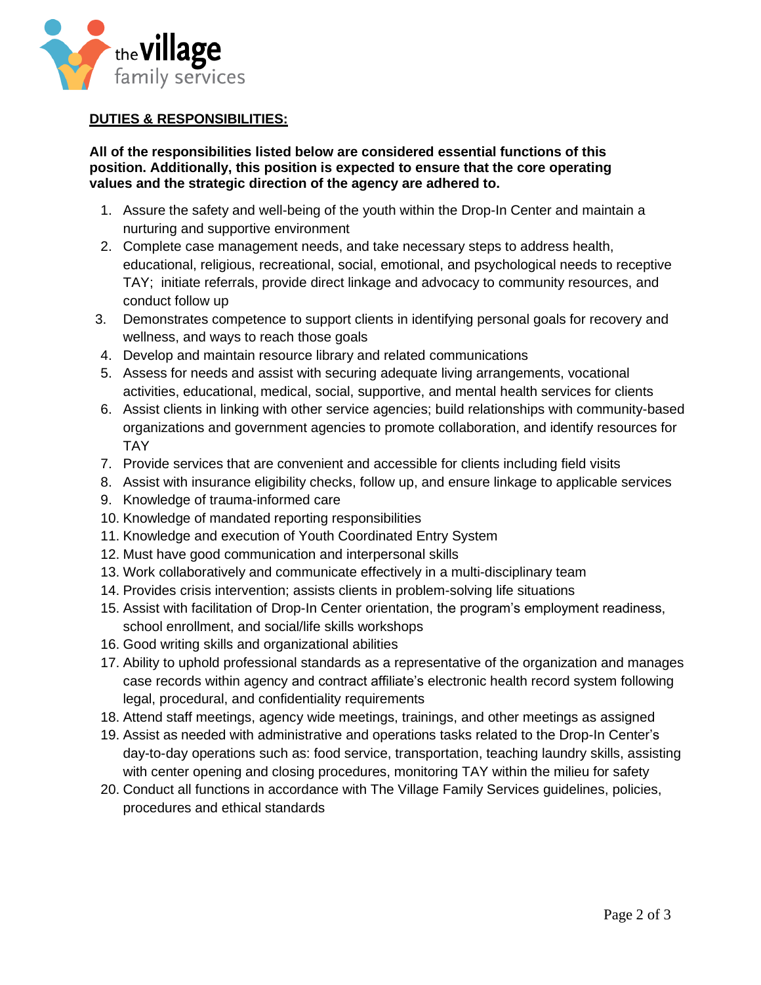

## **DUTIES & RESPONSIBILITIES:**

## **All of the responsibilities listed below are considered essential functions of this position. Additionally, this position is expected to ensure that the core operating values and the strategic direction of the agency are adhered to.**

- 1. Assure the safety and well-being of the youth within the Drop-In Center and maintain a nurturing and supportive environment
- 2. Complete case management needs, and take necessary steps to address health, educational, religious, recreational, social, emotional, and psychological needs to receptive TAY; initiate referrals, provide direct linkage and advocacy to community resources, and conduct follow up
- 3. Demonstrates competence to support clients in identifying personal goals for recovery and wellness, and ways to reach those goals
- 4. Develop and maintain resource library and related communications
- 5. Assess for needs and assist with securing adequate living arrangements, vocational activities, educational, medical, social, supportive, and mental health services for clients
- 6. Assist clients in linking with other service agencies; build relationships with community-based organizations and government agencies to promote collaboration, and identify resources for TAY
- 7. Provide services that are convenient and accessible for clients including field visits
- 8. Assist with insurance eligibility checks, follow up, and ensure linkage to applicable services
- 9. Knowledge of trauma-informed care
- 10. Knowledge of mandated reporting responsibilities
- 11. Knowledge and execution of Youth Coordinated Entry System
- 12. Must have good communication and interpersonal skills
- 13. Work collaboratively and communicate effectively in a multi-disciplinary team
- 14. Provides crisis intervention; assists clients in problem-solving life situations
- 15. Assist with facilitation of Drop-In Center orientation, the program's employment readiness, school enrollment, and social/life skills workshops
- 16. Good writing skills and organizational abilities
- 17. Ability to uphold professional standards as a representative of the organization and manages case records within agency and contract affiliate's electronic health record system following legal, procedural, and confidentiality requirements
- 18. Attend staff meetings, agency wide meetings, trainings, and other meetings as assigned
- 19. Assist as needed with administrative and operations tasks related to the Drop-In Center's day-to-day operations such as: food service, transportation, teaching laundry skills, assisting with center opening and closing procedures, monitoring TAY within the milieu for safety
- 20. Conduct all functions in accordance with The Village Family Services guidelines, policies, procedures and ethical standards